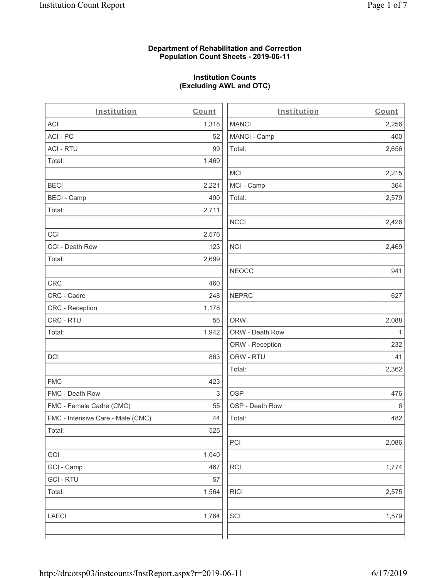### **Department of Rehabilitation and Correction Population Count Sheets - 2019-06-11**

# **Institution Counts (Excluding AWL and OTC)**

| Institution                       | Count | Institution     | Count |
|-----------------------------------|-------|-----------------|-------|
| ACI                               | 1,318 | <b>MANCI</b>    | 2,256 |
| ACI-PC                            | 52    | MANCI - Camp    | 400   |
| <b>ACI - RTU</b>                  | 99    | Total:          | 2,656 |
| Total:                            | 1,469 |                 |       |
|                                   |       | <b>MCI</b>      | 2,215 |
| <b>BECI</b>                       | 2,221 | MCI - Camp      | 364   |
| <b>BECI - Camp</b>                | 490   | Total:          | 2,579 |
| Total:                            | 2,711 |                 |       |
|                                   |       | <b>NCCI</b>     | 2,426 |
| CCI                               | 2,576 |                 |       |
| CCI - Death Row                   | 123   | <b>NCI</b>      | 2,469 |
| Total:                            | 2,699 |                 |       |
|                                   |       | <b>NEOCC</b>    | 941   |
| CRC                               | 460   |                 |       |
| CRC - Cadre                       | 248   | <b>NEPRC</b>    | 627   |
| CRC - Reception                   | 1,178 |                 |       |
| CRC - RTU                         | 56    | <b>ORW</b>      | 2,088 |
| Total:                            | 1,942 | ORW - Death Row | 1     |
|                                   |       | ORW - Reception | 232   |
| <b>DCI</b>                        | 863   | ORW - RTU       | 41    |
|                                   |       | Total:          | 2,362 |
| <b>FMC</b>                        | 423   |                 |       |
| FMC - Death Row                   | 3     | <b>OSP</b>      | 476   |
| FMC - Female Cadre (CMC)          | 55    | OSP - Death Row | 6     |
| FMC - Intensive Care - Male (CMC) | 44    | Total:          | 482   |
| Total:                            | 525   |                 |       |
|                                   |       | PCI             | 2,086 |
| GCI                               | 1,040 |                 |       |
| GCI - Camp                        | 467   | RCI             | 1,774 |
| <b>GCI-RTU</b>                    | 57    |                 |       |
| Total:                            | 1,564 | <b>RICI</b>     | 2,575 |
| <b>LAECI</b>                      | 1,764 | SCI             | 1,579 |
|                                   |       |                 |       |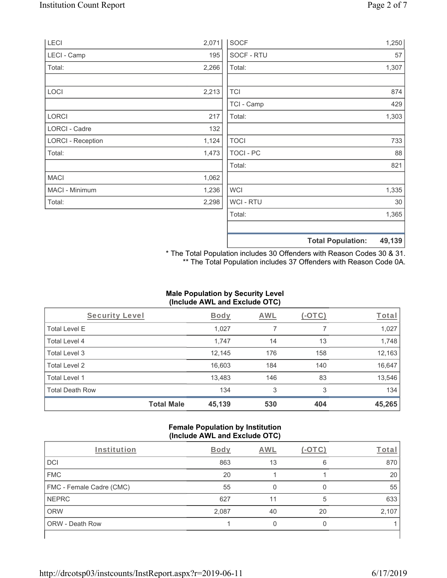| LECI                     | 2,071 | <b>SOCF</b>      | 1,250                              |
|--------------------------|-------|------------------|------------------------------------|
| LECI - Camp              | 195   | SOCF - RTU       | 57                                 |
| Total:                   | 2,266 | Total:           | 1,307                              |
|                          |       |                  |                                    |
| LOCI                     | 2,213 | <b>TCI</b>       | 874                                |
|                          |       | TCI - Camp       | 429                                |
| LORCI                    | 217   | Total:           | 1,303                              |
| LORCI - Cadre            | 132   |                  |                                    |
| <b>LORCI - Reception</b> | 1,124 | <b>TOCI</b>      | 733                                |
| Total:                   | 1,473 | <b>TOCI - PC</b> | 88                                 |
|                          |       | Total:           | 821                                |
| <b>MACI</b>              | 1,062 |                  |                                    |
| MACI - Minimum           | 1,236 | <b>WCI</b>       | 1,335                              |
| Total:                   | 2,298 | <b>WCI-RTU</b>   | 30                                 |
|                          |       | Total:           | 1,365                              |
|                          |       |                  |                                    |
|                          |       |                  | 49,139<br><b>Total Population:</b> |

\* The Total Population includes 30 Offenders with Reason Codes 30 & 31. \*\* The Total Population includes 37 Offenders with Reason Code 0A.

## **Male Population by Security Level (Include AWL and Exclude OTC)**

| Security Level         |                   | <b>Body</b> | AWL | $(-OTC)$ | Total  |
|------------------------|-------------------|-------------|-----|----------|--------|
| <b>Total Level E</b>   |                   | 1,027       |     |          | 1,027  |
| Total Level 4          |                   | 1,747       | 14  | 13       | 1,748  |
| Total Level 3          |                   | 12,145      | 176 | 158      | 12,163 |
| Total Level 2          |                   | 16,603      | 184 | 140      | 16,647 |
| Total Level 1          |                   | 13,483      | 146 | 83       | 13,546 |
| <b>Total Death Row</b> |                   | 134         | 3   | 3        | 134    |
|                        | <b>Total Male</b> | 45,139      | 530 | 404      | 45,265 |

#### **Female Population by Institution (Include AWL and Exclude OTC)**

| Institution              | <b>Body</b> | <b>AWL</b> |    | Total |
|--------------------------|-------------|------------|----|-------|
| <b>DCI</b>               | 863         | 13         | 6  | 870   |
| <b>FMC</b>               | 20          |            |    | 20    |
| FMC - Female Cadre (CMC) | 55          |            |    | 55    |
| <b>NEPRC</b>             | 627         | 11         | 5  | 633   |
| <b>ORW</b>               | 2,087       | 40         | 20 | 2,107 |
| <b>ORW - Death Row</b>   |             |            |    |       |
|                          |             |            |    |       |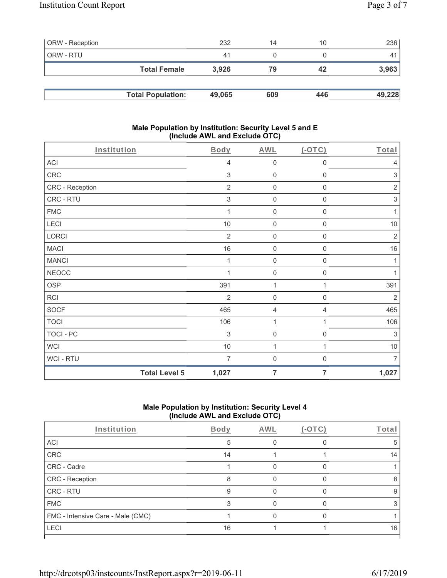| <b>ORW</b> - Reception |                          | 232    | 14  | 10  | 236    |
|------------------------|--------------------------|--------|-----|-----|--------|
| ORW - RTU              |                          | 41     |     |     | 41     |
|                        | <b>Total Female</b>      | 3.926  | 79  | 42  | 3,963  |
|                        |                          |        |     |     |        |
|                        | <b>Total Population:</b> | 49,065 | 609 | 446 | 49,228 |

#### **Male Population by Institution: Security Level 5 and E (Include AWL and Exclude OTC)**

| Institution      |                      | <b>Body</b>    | ,<br><b>AWL</b>     | (OTC)               | Total                     |
|------------------|----------------------|----------------|---------------------|---------------------|---------------------------|
| <b>ACI</b>       |                      | 4              | $\mathsf{O}\xspace$ | $\mathsf{O}\xspace$ | $\overline{4}$            |
| CRC              |                      | 3              | $\mathsf{O}\xspace$ | $\mathsf 0$         | $\ensuremath{\mathsf{3}}$ |
| CRC - Reception  |                      | $\overline{2}$ | $\mathsf{O}\xspace$ | $\mathsf{O}\xspace$ | $\sqrt{2}$                |
| CRC - RTU        |                      | $\sqrt{3}$     | $\mathbf 0$         | 0                   | $\ensuremath{\mathsf{3}}$ |
| <b>FMC</b>       |                      |                | $\mathsf{O}\xspace$ | 0                   | 1                         |
| LECI             |                      | 10             | $\mathsf{O}\xspace$ | $\mathsf{O}\xspace$ | 10                        |
| LORCI            |                      | $\overline{2}$ | $\mathsf{O}\xspace$ | $\mathsf{O}\xspace$ | $\sqrt{2}$                |
| <b>MACI</b>      |                      | 16             | $\mathsf{O}\xspace$ | $\mathsf{O}\xspace$ | 16                        |
| <b>MANCI</b>     |                      | 1              | $\mathsf{O}\xspace$ | 0                   | 1                         |
| <b>NEOCC</b>     |                      |                | $\mathbf 0$         | 0                   | 1                         |
| <b>OSP</b>       |                      | 391            | 1                   | 1                   | 391                       |
| <b>RCI</b>       |                      | $\overline{2}$ | $\mathsf{O}\xspace$ | $\mathsf{O}\xspace$ | $\sqrt{2}$                |
| <b>SOCF</b>      |                      | 465            | $\overline{4}$      | 4                   | 465                       |
| <b>TOCI</b>      |                      | 106            | 1                   | 1                   | 106                       |
| <b>TOCI - PC</b> |                      | 3              | $\mathsf{O}\xspace$ | $\mathsf{O}\xspace$ | $\sqrt{3}$                |
| <b>WCI</b>       |                      | $10$           | 1                   | 1                   | $10$                      |
| WCI-RTU          |                      | 7              | $\mathsf{O}\xspace$ | $\boldsymbol{0}$    | $\overline{7}$            |
|                  | <b>Total Level 5</b> | 1,027          | $\overline{7}$      | $\overline{7}$      | 1,027                     |

## **Male Population by Institution: Security Level 4 (Include AWL and Exclude OTC)**

| Institution                       | Body | AWL | Total |
|-----------------------------------|------|-----|-------|
| ACI                               | 5    |     |       |
| CRC                               | 14   |     | 14    |
| CRC - Cadre                       |      |     |       |
| CRC - Reception                   | 8    |     |       |
| CRC - RTU                         | 9    |     | 9     |
| <b>FMC</b>                        | 3    |     |       |
| FMC - Intensive Care - Male (CMC) |      |     |       |
| <b>LECI</b>                       | 16   |     | 16    |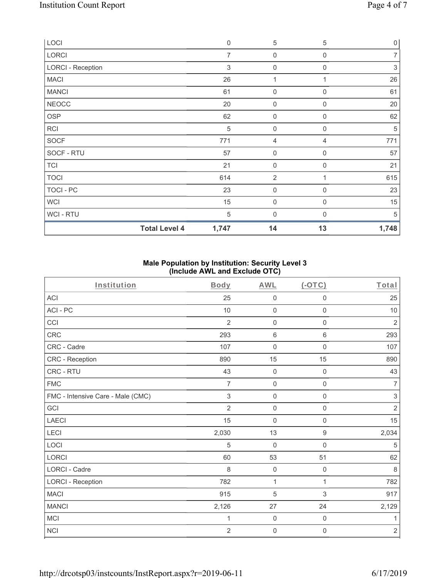| LOCI                     | $\mathbf 0$    | $\sqrt{5}$          | 5              | $\mathsf{O}\xspace$       |
|--------------------------|----------------|---------------------|----------------|---------------------------|
| LORCI                    | $\overline{7}$ | 0                   | $\mathbf 0$    | $\overline{7}$            |
| <b>LORCI - Reception</b> | 3              | $\boldsymbol{0}$    | 0              | $\ensuremath{\mathsf{3}}$ |
| <b>MACI</b>              | 26             | 1                   |                | 26                        |
| <b>MANCI</b>             | 61             | $\boldsymbol{0}$    | $\mathbf 0$    | 61                        |
| <b>NEOCC</b>             | 20             | 0                   | $\mathbf 0$    | 20                        |
| <b>OSP</b>               | 62             | $\boldsymbol{0}$    | 0              | 62                        |
| <b>RCI</b>               | $\sqrt{5}$     | $\mathsf{O}\xspace$ | $\mathbf 0$    | 5                         |
| <b>SOCF</b>              | 771            | 4                   | 4              | 771                       |
| SOCF - RTU               | 57             | $\mathsf{O}\xspace$ | $\mathbf 0$    | 57                        |
| <b>TCI</b>               | 21             | $\mathsf{O}\xspace$ | $\mathbf 0$    | 21                        |
| <b>TOCI</b>              | 614            | $\overline{2}$      |                | 615                       |
| TOCI - PC                | 23             | $\mathsf{O}\xspace$ | 0              | 23                        |
| <b>WCI</b>               | 15             | $\mathsf{O}\xspace$ | $\overline{0}$ | 15                        |
| WCI - RTU                | 5              | 0                   | $\Omega$       | 5                         |
| <b>Total Level 4</b>     | 1,747          | 14                  | 13             | 1,748                     |

## **Male Population by Institution: Security Level 3 (Include AWL and Exclude OTC)**

| Institution                       | <b>Body</b>    | <b>AWL</b>          | $($ -OTC $)$        | Total          |
|-----------------------------------|----------------|---------------------|---------------------|----------------|
| <b>ACI</b>                        | 25             | $\mathbf 0$         | $\boldsymbol{0}$    | 25             |
| ACI - PC                          | 10             | $\mathsf{O}\xspace$ | $\mathsf 0$         | 10             |
| CCI                               | $\overline{2}$ | $\mathbf 0$         | $\mathbf 0$         | $\sqrt{2}$     |
| CRC                               | 293            | $\,6\,$             | $\,6\,$             | 293            |
| CRC - Cadre                       | 107            | $\mathsf{O}\xspace$ | $\mathbf 0$         | 107            |
| CRC - Reception                   | 890            | 15                  | 15                  | 890            |
| CRC - RTU                         | 43             | $\mathbf 0$         | $\boldsymbol{0}$    | 43             |
| <b>FMC</b>                        | $\overline{7}$ | $\mathbf 0$         | $\mathbf 0$         | $\overline{7}$ |
| FMC - Intensive Care - Male (CMC) | 3              | $\mathbf 0$         | $\boldsymbol{0}$    | $\sqrt{3}$     |
| GCI                               | $\overline{2}$ | $\mathsf{O}\xspace$ | $\mathsf{O}\xspace$ | $\sqrt{2}$     |
| <b>LAECI</b>                      | 15             | $\mathbf 0$         | $\boldsymbol{0}$    | 15             |
| LECI                              | 2,030          | 13                  | $\boldsymbol{9}$    | 2,034          |
| LOCI                              | 5              | $\mathbf 0$         | $\mathbf 0$         | 5              |
| <b>LORCI</b>                      | 60             | 53                  | 51                  | 62             |
| <b>LORCI - Cadre</b>              | 8              | $\mathbf 0$         | $\mathbf 0$         | 8              |
| <b>LORCI - Reception</b>          | 782            | 1                   | 1                   | 782            |
| <b>MACI</b>                       | 915            | 5                   | 3                   | 917            |
| <b>MANCI</b>                      | 2,126          | 27                  | 24                  | 2,129          |
| MCI                               | $\mathbf 1$    | $\mathsf{O}\xspace$ | $\mathbf 0$         | 1              |
| <b>NCI</b>                        | $\overline{2}$ | $\mathbf 0$         | $\boldsymbol{0}$    | $\sqrt{2}$     |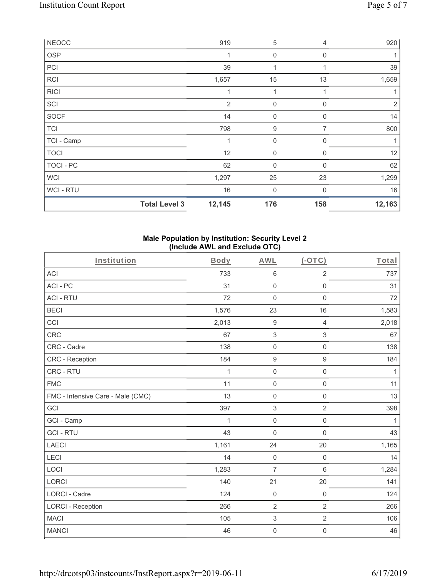| <b>NEOCC</b>     |                      | 919            | 5            | 4           | 920            |
|------------------|----------------------|----------------|--------------|-------------|----------------|
| OSP              |                      | 1              | $\mathbf 0$  | $\Omega$    |                |
| PCI              |                      | 39             | $\mathbf{1}$ | 1           | 39             |
| <b>RCI</b>       |                      | 1,657          | 15           | 13          | 1,659          |
| <b>RICI</b>      |                      | 1              | 1            |             |                |
| SCI              |                      | $\overline{2}$ | $\mathbf 0$  | 0           | $\overline{2}$ |
| <b>SOCF</b>      |                      | 14             | 0            | $\mathbf 0$ | 14             |
| <b>TCI</b>       |                      | 798            | 9            | 7           | 800            |
| TCI - Camp       |                      | 1              | 0            | 0           | 1              |
| <b>TOCI</b>      |                      | 12             | 0            | $\Omega$    | 12             |
| <b>TOCI - PC</b> |                      | 62             | $\mathbf{0}$ | $\Omega$    | 62             |
| <b>WCI</b>       |                      | 1,297          | 25           | 23          | 1,299          |
| WCI - RTU        |                      | $16\,$         | $\mathbf 0$  | 0           | 16             |
|                  | <b>Total Level 3</b> | 12,145         | 176          | 158         | 12,163         |

#### **Male Population by Institution: Security Level 2 (Include AWL and Exclude OTC)**

| Institution                       | <b>Body</b>  | <b>AWL</b>                | $(-OTC)$                  | Total |
|-----------------------------------|--------------|---------------------------|---------------------------|-------|
| <b>ACI</b>                        | 733          | $\,6\,$                   | $\overline{2}$            | 737   |
| ACI-PC                            | 31           | $\mathbf 0$               | $\mathbf 0$               | 31    |
| <b>ACI - RTU</b>                  | 72           | $\mathbf 0$               | $\mathbf 0$               | 72    |
| <b>BECI</b>                       | 1,576        | 23                        | 16                        | 1,583 |
| CCI                               | 2,013        | $\boldsymbol{9}$          | 4                         | 2,018 |
| CRC                               | 67           | $\,$ 3 $\,$               | $\ensuremath{\mathsf{3}}$ | 67    |
| CRC - Cadre                       | 138          | $\mathbf 0$               | $\mathbf 0$               | 138   |
| <b>CRC</b> - Reception            | 184          | $\boldsymbol{9}$          | $\boldsymbol{9}$          | 184   |
| CRC - RTU                         | 1            | $\mathsf{O}\xspace$       | $\mathbf 0$               | 1     |
| <b>FMC</b>                        | 11           | $\mathsf{O}\xspace$       | $\mathbf 0$               | 11    |
| FMC - Intensive Care - Male (CMC) | 13           | $\mathbf 0$               | $\mathsf{O}\xspace$       | 13    |
| GCI                               | 397          | $\,$ 3 $\,$               | $\overline{2}$            | 398   |
| GCI - Camp                        | $\mathbf{1}$ | $\mathbf 0$               | $\mathbf 0$               | 1     |
| <b>GCI-RTU</b>                    | 43           | $\mathsf{O}\xspace$       | $\mathsf{O}\xspace$       | 43    |
| <b>LAECI</b>                      | 1,161        | 24                        | 20                        | 1,165 |
| LECI                              | 14           | $\mathbf 0$               | $\mathbf 0$               | 14    |
| LOCI                              | 1,283        | $\overline{7}$            | $\,6\,$                   | 1,284 |
| <b>LORCI</b>                      | 140          | 21                        | 20                        | 141   |
| LORCI - Cadre                     | 124          | $\mathbf 0$               | $\mathbf 0$               | 124   |
| <b>LORCI - Reception</b>          | 266          | $\overline{2}$            | $\overline{2}$            | 266   |
| <b>MACI</b>                       | 105          | $\ensuremath{\mathsf{3}}$ | $\overline{2}$            | 106   |
| <b>MANCI</b>                      | 46           | $\mathsf{O}\xspace$       | $\mathbf 0$               | 46    |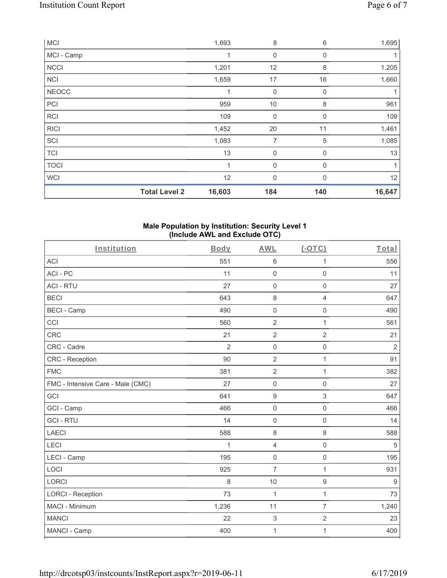| <b>MCI</b>   |                      | 1,693  | 8                | 6            | 1,695  |
|--------------|----------------------|--------|------------------|--------------|--------|
| MCI - Camp   |                      |        | $\mathbf 0$      | 0            |        |
| <b>NCCI</b>  |                      | 1,201  | 12               | 8            | 1,205  |
| <b>NCI</b>   |                      | 1,659  | 17               | 16           | 1,660  |
| <b>NEOCC</b> |                      | 1      | $\mathbf 0$      | $\Omega$     |        |
| PCI          |                      | 959    | 10               | 8            | 961    |
| <b>RCI</b>   |                      | 109    | $\boldsymbol{0}$ | 0            | 109    |
| <b>RICI</b>  |                      | 1,452  | 20               | 11           | 1,461  |
| SCI          |                      | 1,083  | 7                | 5            | 1,085  |
| <b>TCI</b>   |                      | 13     | $\mathbf 0$      | $\mathbf{0}$ | 13     |
| <b>TOCI</b>  |                      | 1      | $\mathbf 0$      | $\Omega$     | 1      |
| <b>WCI</b>   |                      | 12     | $\mathbf{0}$     | $\Omega$     | 12     |
|              | <b>Total Level 2</b> | 16,603 | 184              | 140          | 16,647 |

#### **Male Population by Institution: Security Level 1 (Include AWL and Exclude OTC)**

| Institution                       | <b>Body</b>    | <b>AWL</b>          | (OTC)               | Total          |
|-----------------------------------|----------------|---------------------|---------------------|----------------|
| <b>ACI</b>                        | 551            | $\,6\,$             | 1                   | 556            |
| ACI-PC                            | 11             | $\mathsf 0$         | $\mathbf 0$         | 11             |
| <b>ACI - RTU</b>                  | 27             | $\mathbf 0$         | $\mathsf 0$         | 27             |
| <b>BECI</b>                       | 643            | 8                   | 4                   | 647            |
| <b>BECI - Camp</b>                | 490            | $\mathbf 0$         | $\mathbf 0$         | 490            |
| CCI                               | 560            | $\overline{2}$      | $\mathbf{1}$        | 561            |
| <b>CRC</b>                        | 21             | $\overline{2}$      | $\overline{2}$      | 21             |
| CRC - Cadre                       | $\overline{2}$ | $\mathsf{O}\xspace$ | $\mathsf 0$         | $\overline{2}$ |
| <b>CRC</b> - Reception            | 90             | $\overline{2}$      | $\mathbf{1}$        | 91             |
| <b>FMC</b>                        | 381            | $\sqrt{2}$          | 1                   | 382            |
| FMC - Intensive Care - Male (CMC) | 27             | $\mathsf 0$         | $\mathsf 0$         | 27             |
| GCI                               | 641            | $\boldsymbol{9}$    | $\mathfrak{S}$      | 647            |
| GCI - Camp                        | 466            | $\mathbf 0$         | $\mathbf 0$         | 466            |
| <b>GCI-RTU</b>                    | 14             | $\mathsf{O}\xspace$ | $\mathsf{O}\xspace$ | 14             |
| <b>LAECI</b>                      | 588            | $\,8\,$             | 8                   | 588            |
| LECI                              | 1              | $\overline{4}$      | $\mathsf{O}\xspace$ | $\sqrt{5}$     |
| LECI - Camp                       | 195            | $\mathsf 0$         | $\mathsf 0$         | 195            |
| LOCI                              | 925            | $\overline{7}$      | $\mathbf{1}$        | 931            |
| LORCI                             | 8              | 10                  | $\boldsymbol{9}$    | $9$            |
| <b>LORCI - Reception</b>          | 73             | $\mathbf{1}$        | $\mathbf{1}$        | 73             |
| MACI - Minimum                    | 1,236          | 11                  | $\overline{7}$      | 1,240          |
| <b>MANCI</b>                      | 22             | $\mathfrak{S}$      | $\overline{2}$      | 23             |
| MANCI - Camp                      | 400            | 1                   | 1                   | 400            |